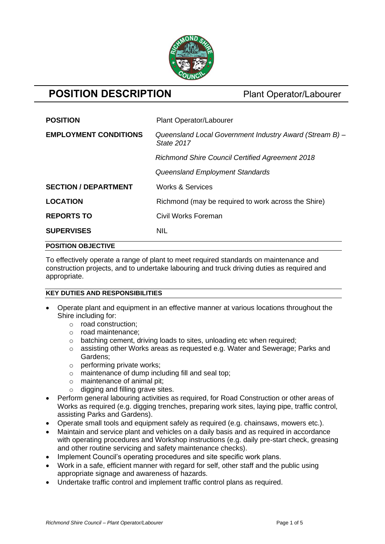

# **POSITION DESCRIPTION** Plant Operator/Labourer

| <b>POSITION</b>              | Plant Operator/Labourer                                               |
|------------------------------|-----------------------------------------------------------------------|
| <b>EMPLOYMENT CONDITIONS</b> | Queensland Local Government Industry Award (Stream B) -<br>State 2017 |
|                              | <b>Richmond Shire Council Certified Agreement 2018</b>                |
|                              | Queensland Employment Standards                                       |
| <b>SECTION / DEPARTMENT</b>  | <b>Works &amp; Services</b>                                           |
| <b>LOCATION</b>              | Richmond (may be required to work across the Shire)                   |
| <b>REPORTS TO</b>            | Civil Works Foreman                                                   |
| <b>SUPERVISES</b>            | <b>NIL</b>                                                            |
| <b>POSITION OBJECTIVE</b>    |                                                                       |

To effectively operate a range of plant to meet required standards on maintenance and construction projects, and to undertake labouring and truck driving duties as required and appropriate.

### **KEY DUTIES AND RESPONSIBILITIES**

- Operate plant and equipment in an effective manner at various locations throughout the Shire including for:
	- o road construction;
	- o road maintenance;
	- o batching cement, driving loads to sites, unloading etc when required;
	- o assisting other Works areas as requested e.g. Water and Sewerage; Parks and Gardens;
	- o performing private works;
	- o maintenance of dump including fill and seal top;
	- o maintenance of animal pit;
	- $\circ$  digging and filling grave sites.
- Perform general labouring activities as required, for Road Construction or other areas of Works as required (e.g. digging trenches, preparing work sites, laying pipe, traffic control, assisting Parks and Gardens).
- Operate small tools and equipment safely as required (e.g. chainsaws, mowers etc.).
- Maintain and service plant and vehicles on a daily basis and as required in accordance with operating procedures and Workshop instructions (e.g. daily pre-start check, greasing and other routine servicing and safety maintenance checks).
- Implement Council's operating procedures and site specific work plans.
- Work in a safe, efficient manner with regard for self, other staff and the public using appropriate signage and awareness of hazards.
- Undertake traffic control and implement traffic control plans as required.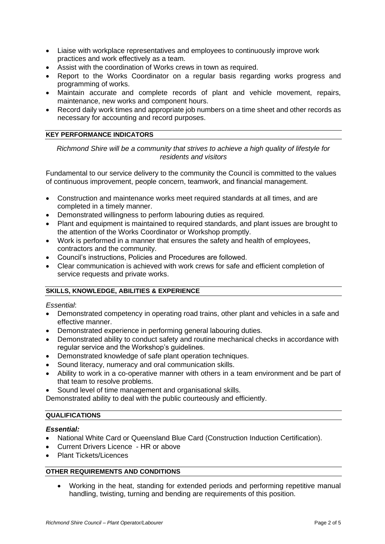- Liaise with workplace representatives and employees to continuously improve work practices and work effectively as a team.
- Assist with the coordination of Works crews in town as required.
- Report to the Works Coordinator on a regular basis regarding works progress and programming of works.
- Maintain accurate and complete records of plant and vehicle movement, repairs, maintenance, new works and component hours.
- Record daily work times and appropriate job numbers on a time sheet and other records as necessary for accounting and record purposes.

#### **KEY PERFORMANCE INDICATORS**

*Richmond Shire will be a community that strives to achieve a high quality of lifestyle for residents and visitors*

Fundamental to our service delivery to the community the Council is committed to the values of continuous improvement, people concern, teamwork, and financial management.

- Construction and maintenance works meet required standards at all times, and are completed in a timely manner.
- Demonstrated willingness to perform labouring duties as required.
- Plant and equipment is maintained to required standards, and plant issues are brought to the attention of the Works Coordinator or Workshop promptly.
- Work is performed in a manner that ensures the safety and health of employees, contractors and the community.
- Council's instructions, Policies and Procedures are followed.
- Clear communication is achieved with work crews for safe and efficient completion of service requests and private works.

### **SKILLS, KNOWLEDGE, ABILITIES & EXPERIENCE**

#### *Essential*:

- Demonstrated competency in operating road trains, other plant and vehicles in a safe and effective manner.
- Demonstrated experience in performing general labouring duties.
- Demonstrated ability to conduct safety and routine mechanical checks in accordance with regular service and the Workshop's guidelines.
- Demonstrated knowledge of safe plant operation techniques.
- Sound literacy, numeracy and oral communication skills.
- Ability to work in a co-operative manner with others in a team environment and be part of that team to resolve problems.
- Sound level of time management and organisational skills.

Demonstrated ability to deal with the public courteously and efficiently.

#### **QUALIFICATIONS**

#### *Essential:*

- National White Card or Queensland Blue Card (Construction Induction Certification).
- Current Drivers Licence HR or above
- Plant Tickets/Licences

### **OTHER REQUIREMENTS AND CONDITIONS**

• Working in the heat, standing for extended periods and performing repetitive manual handling, twisting, turning and bending are requirements of this position.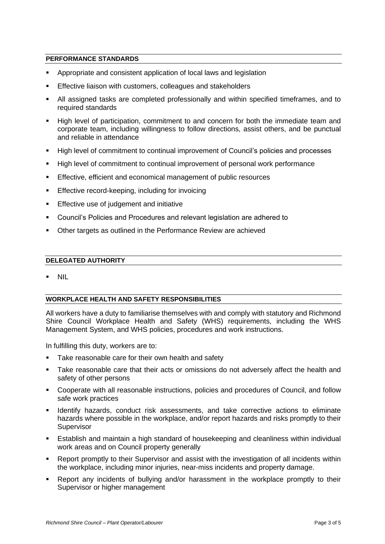#### **PERFORMANCE STANDARDS**

- Appropriate and consistent application of local laws and legislation
- Effective liaison with customers, colleagues and stakeholders
- All assigned tasks are completed professionally and within specified timeframes, and to required standards
- High level of participation, commitment to and concern for both the immediate team and corporate team, including willingness to follow directions, assist others, and be punctual and reliable in attendance
- High level of commitment to continual improvement of Council's policies and processes
- High level of commitment to continual improvement of personal work performance
- **Effective, efficient and economical management of public resources**
- Effective record-keeping, including for invoicing
- **Effective use of judgement and initiative**
- Council's Policies and Procedures and relevant legislation are adhered to
- Other targets as outlined in the Performance Review are achieved

#### **DELEGATED AUTHORITY**

▪ NIL

#### **WORKPLACE HEALTH AND SAFETY RESPONSIBILITIES**

All workers have a duty to familiarise themselves with and comply with statutory and Richmond Shire Council Workplace Health and Safety (WHS) requirements, including the WHS Management System, and WHS policies, procedures and work instructions.

In fulfilling this duty, workers are to:

- Take reasonable care for their own health and safety
- Take reasonable care that their acts or omissions do not adversely affect the health and safety of other persons
- Cooperate with all reasonable instructions, policies and procedures of Council, and follow safe work practices
- **EXECT** Identify hazards, conduct risk assessments, and take corrective actions to eliminate hazards where possible in the workplace, and/or report hazards and risks promptly to their **Supervisor**
- **E** Establish and maintain a high standard of housekeeping and cleanliness within individual work areas and on Council property generally
- Report promptly to their Supervisor and assist with the investigation of all incidents within the workplace, including minor injuries, near-miss incidents and property damage.
- Report any incidents of bullying and/or harassment in the workplace promptly to their Supervisor or higher management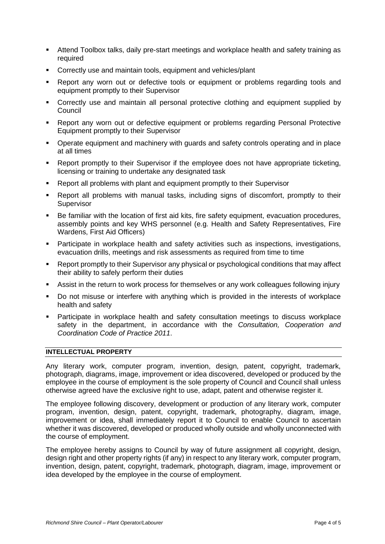- Attend Toolbox talks, daily pre-start meetings and workplace health and safety training as required
- Correctly use and maintain tools, equipment and vehicles/plant
- Report any worn out or defective tools or equipment or problems regarding tools and equipment promptly to their Supervisor
- Correctly use and maintain all personal protective clothing and equipment supplied by Council
- Report any worn out or defective equipment or problems regarding Personal Protective Equipment promptly to their Supervisor
- Operate equipment and machinery with guards and safety controls operating and in place at all times
- Report promptly to their Supervisor if the employee does not have appropriate ticketing, licensing or training to undertake any designated task
- Report all problems with plant and equipment promptly to their Supervisor
- Report all problems with manual tasks, including signs of discomfort, promptly to their **Supervisor**
- Be familiar with the location of first aid kits, fire safety equipment, evacuation procedures, assembly points and key WHS personnel (e.g. Health and Safety Representatives, Fire Wardens, First Aid Officers)
- Participate in workplace health and safety activities such as inspections, investigations, evacuation drills, meetings and risk assessments as required from time to time
- Report promptly to their Supervisor any physical or psychological conditions that may affect their ability to safely perform their duties
- Assist in the return to work process for themselves or any work colleagues following injury
- Do not misuse or interfere with anything which is provided in the interests of workplace health and safety
- Participate in workplace health and safety consultation meetings to discuss workplace safety in the department, in accordance with the *Consultation, Cooperation and Coordination Code of Practice 2011*.

## **INTELLECTUAL PROPERTY**

Any literary work, computer program, invention, design, patent, copyright, trademark, photograph, diagrams, image, improvement or idea discovered, developed or produced by the employee in the course of employment is the sole property of Council and Council shall unless otherwise agreed have the exclusive right to use, adapt, patent and otherwise register it.

The employee following discovery, development or production of any literary work, computer program, invention, design, patent, copyright, trademark, photography, diagram, image, improvement or idea, shall immediately report it to Council to enable Council to ascertain whether it was discovered, developed or produced wholly outside and wholly unconnected with the course of employment.

The employee hereby assigns to Council by way of future assignment all copyright, design, design right and other property rights (if any) in respect to any literary work, computer program, invention, design, patent, copyright, trademark, photograph, diagram, image, improvement or idea developed by the employee in the course of employment.